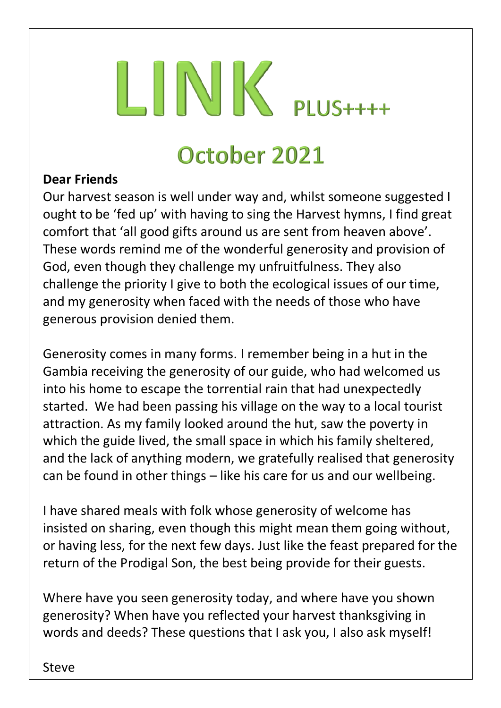# $LINK$  PLUS++++

### October 2021

#### **Dear Friends**

Our harvest season is well under way and, whilst someone suggested I ought to be 'fed up' with having to sing the Harvest hymns, I find great comfort that 'all good gifts around us are sent from heaven above'. These words remind me of the wonderful generosity and provision of God, even though they challenge my unfruitfulness. They also challenge the priority I give to both the ecological issues of our time, and my generosity when faced with the needs of those who have generous provision denied them.

Generosity comes in many forms. I remember being in a hut in the Gambia receiving the generosity of our guide, who had welcomed us into his home to escape the torrential rain that had unexpectedly started. We had been passing his village on the way to a local tourist attraction. As my family looked around the hut, saw the poverty in which the guide lived, the small space in which his family sheltered, and the lack of anything modern, we gratefully realised that generosity can be found in other things – like his care for us and our wellbeing.

I have shared meals with folk whose generosity of welcome has insisted on sharing, even though this might mean them going without, or having less, for the next few days. Just like the feast prepared for the return of the Prodigal Son, the best being provide for their guests.

Where have you seen generosity today, and where have you shown generosity? When have you reflected your harvest thanksgiving in words and deeds? These questions that I ask you, I also ask myself!

Steve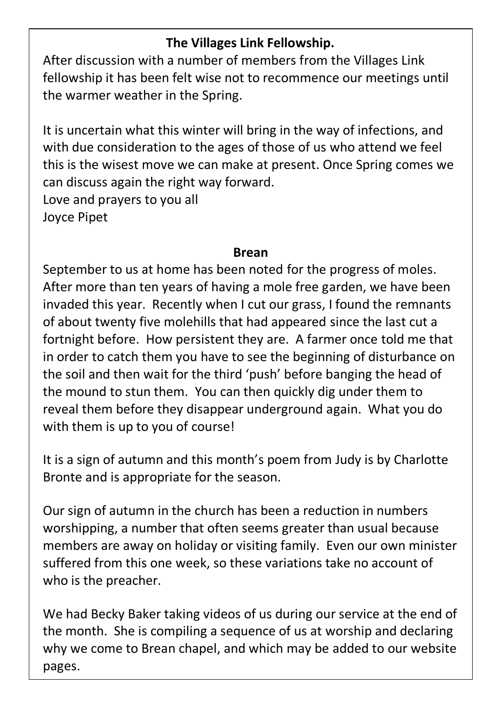#### **The Villages Link Fellowship.**

After discussion with a number of members from the Villages Link fellowship it has been felt wise not to recommence our meetings until the warmer weather in the Spring.

It is uncertain what this winter will bring in the way of infections, and with due consideration to the ages of those of us who attend we feel this is the wisest move we can make at present. Once Spring comes we can discuss again the right way forward. Love and prayers to you all Joyce Pipet

#### **Brean**

September to us at home has been noted for the progress of moles. After more than ten years of having a mole free garden, we have been invaded this year. Recently when I cut our grass, I found the remnants of about twenty five molehills that had appeared since the last cut a fortnight before. How persistent they are. A farmer once told me that in order to catch them you have to see the beginning of disturbance on the soil and then wait for the third 'push' before banging the head of the mound to stun them. You can then quickly dig under them to reveal them before they disappear underground again. What you do with them is up to you of course!

It is a sign of autumn and this month's poem from Judy is by Charlotte Bronte and is appropriate for the season.

Our sign of autumn in the church has been a reduction in numbers worshipping, a number that often seems greater than usual because members are away on holiday or visiting family. Even our own minister suffered from this one week, so these variations take no account of who is the preacher.

We had Becky Baker taking videos of us during our service at the end of the month. She is compiling a sequence of us at worship and declaring why we come to Brean chapel, and which may be added to our website pages.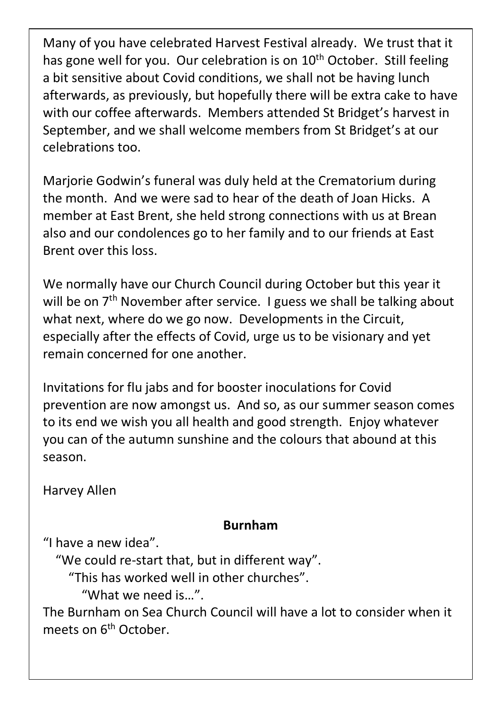Many of you have celebrated Harvest Festival already. We trust that it has gone well for you. Our celebration is on 10<sup>th</sup> October. Still feeling a bit sensitive about Covid conditions, we shall not be having lunch afterwards, as previously, but hopefully there will be extra cake to have with our coffee afterwards. Members attended St Bridget's harvest in September, and we shall welcome members from St Bridget's at our celebrations too.

Marjorie Godwin's funeral was duly held at the Crematorium during the month. And we were sad to hear of the death of Joan Hicks. A member at East Brent, she held strong connections with us at Brean also and our condolences go to her family and to our friends at East Brent over this loss.

We normally have our Church Council during October but this year it will be on  $7<sup>th</sup>$  November after service. I guess we shall be talking about what next, where do we go now. Developments in the Circuit, especially after the effects of Covid, urge us to be visionary and yet remain concerned for one another.

Invitations for flu jabs and for booster inoculations for Covid prevention are now amongst us. And so, as our summer season comes to its end we wish you all health and good strength. Enjoy whatever you can of the autumn sunshine and the colours that abound at this season.

Harvey Allen

#### **Burnham**

"I have a new idea".

"We could re-start that, but in different way".

"This has worked well in other churches".

"What we need is…".

The Burnham on Sea Church Council will have a lot to consider when it meets on 6<sup>th</sup> October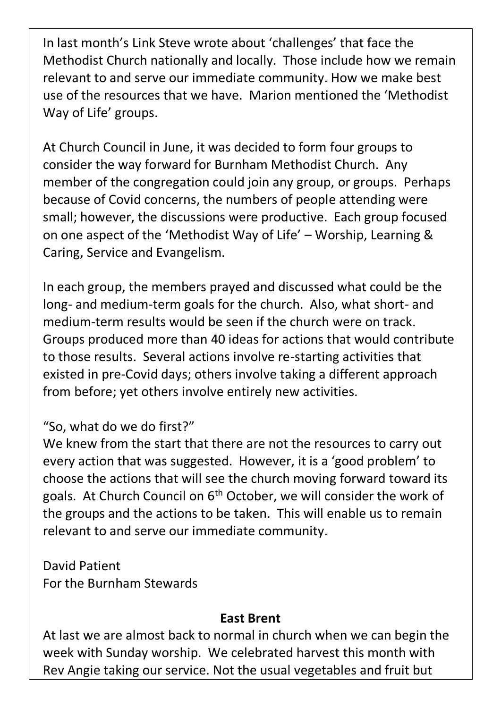In last month's Link Steve wrote about 'challenges' that face the Methodist Church nationally and locally. Those include how we remain relevant to and serve our immediate community. How we make best use of the resources that we have. Marion mentioned the 'Methodist Way of Life' groups.

At Church Council in June, it was decided to form four groups to consider the way forward for Burnham Methodist Church. Any member of the congregation could join any group, or groups. Perhaps because of Covid concerns, the numbers of people attending were small; however, the discussions were productive. Each group focused on one aspect of the 'Methodist Way of Life' – Worship, Learning & Caring, Service and Evangelism.

In each group, the members prayed and discussed what could be the long- and medium-term goals for the church. Also, what short- and medium-term results would be seen if the church were on track. Groups produced more than 40 ideas for actions that would contribute to those results. Several actions involve re-starting activities that existed in pre-Covid days; others involve taking a different approach from before; yet others involve entirely new activities.

#### "So, what do we do first?"

We knew from the start that there are not the resources to carry out every action that was suggested. However, it is a 'good problem' to choose the actions that will see the church moving forward toward its goals. At Church Council on  $6<sup>th</sup>$  October, we will consider the work of the groups and the actions to be taken. This will enable us to remain relevant to and serve our immediate community.

David Patient For the Burnham Stewards

#### **East Brent**

At last we are almost back to normal in church when we can begin the week with Sunday worship. We celebrated harvest this month with Rev Angie taking our service. Not the usual vegetables and fruit but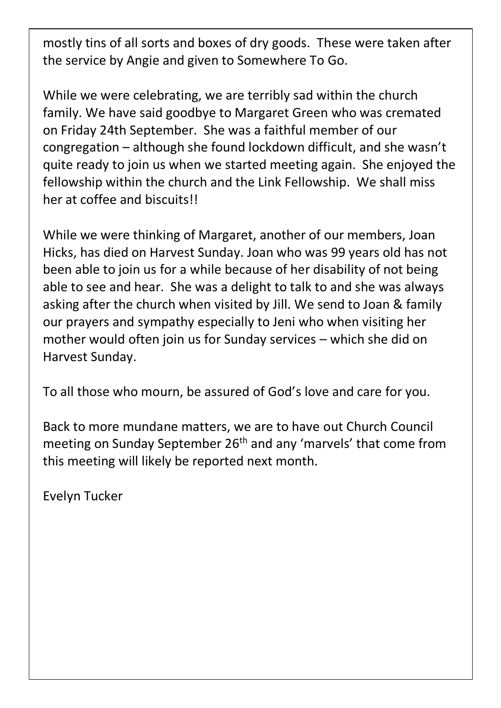mostly tins of all sorts and boxes of dry goods. These were taken after the service by Angie and given to Somewhere To Go.

While we were celebrating, we are terribly sad within the church family. We have said goodbye to Margaret Green who was cremated on Friday 24th September. She was a faithful member of our congregation – although she found lockdown difficult, and she wasn't quite ready to join us when we started meeting again. She enjoyed the fellowship within the church and the Link Fellowship. We shall miss her at coffee and biscuits!!

While we were thinking of Margaret, another of our members, Joan Hicks, has died on Harvest Sunday. Joan who was 99 years old has not been able to join us for a while because of her disability of not being able to see and hear. She was a delight to talk to and she was always asking after the church when visited by Jill. We send to Joan & family our prayers and sympathy especially to Jeni who when visiting her mother would often join us for Sunday services – which she did on Harvest Sunday.

To all those who mourn, be assured of God's love and care for you.

Back to more mundane matters, we are to have out Church Council meeting on Sunday September 26<sup>th</sup> and any 'marvels' that come from this meeting will likely be reported next month.

Evelyn Tucker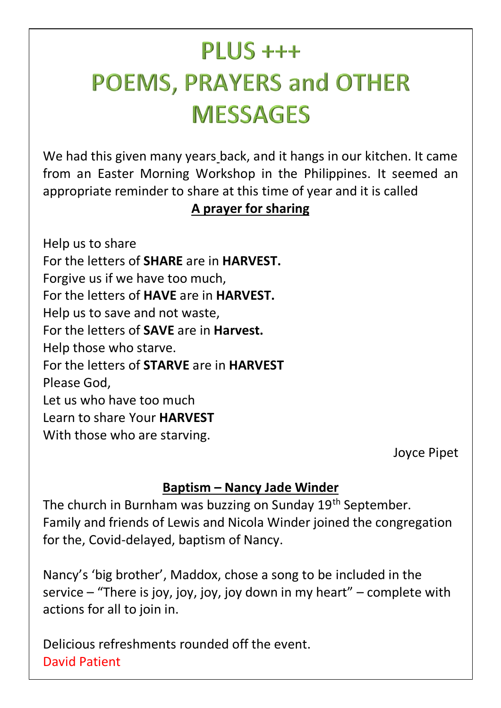# $PI  $US +++$$ **POEMS, PRAYERS and OTHER MESSAGES**

We had this given many years back, and it hangs in our kitchen. It came from an Easter Morning Workshop in the Philippines. It seemed an appropriate reminder to share at this time of year and it is called

#### **A prayer for sharing**

Help us to share For the letters of **SHARE** are in **HARVEST.** Forgive us if we have too much, For the letters of **HAVE** are in **HARVEST.** Help us to save and not waste, For the letters of **SAVE** are in **Harvest.** Help those who starve. For the letters of **STARVE** are in **HARVEST** Please God, Let us who have too much Learn to share Your **HARVEST** With those who are starving.

Joyce Pipet

#### **Baptism – Nancy Jade Winder**

The church in Burnham was buzzing on Sunday 19<sup>th</sup> September. Family and friends of Lewis and Nicola Winder joined the congregation for the, Covid-delayed, baptism of Nancy.

Nancy's 'big brother', Maddox, chose a song to be included in the service – "There is joy, joy, joy, joy down in my heart" – complete with actions for all to join in.

Delicious refreshments rounded off the event. David Patient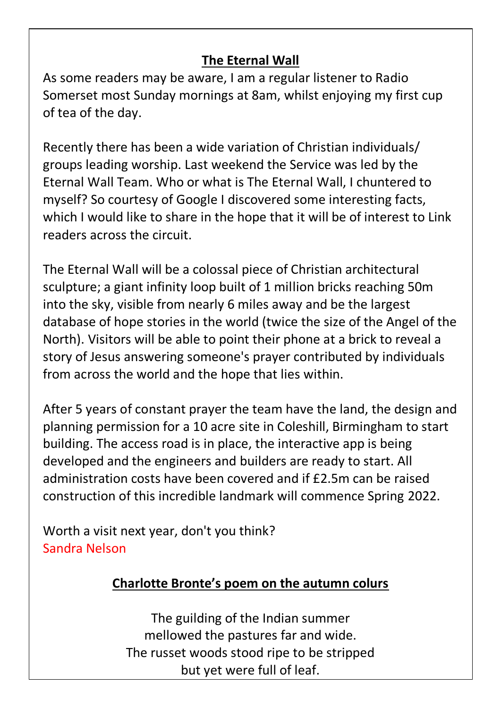#### **The Eternal Wall**

As some readers may be aware, I am a regular listener to Radio Somerset most Sunday mornings at 8am, whilst enjoying my first cup of tea of the day.

Recently there has been a wide variation of Christian individuals/ groups leading worship. Last weekend the Service was led by the Eternal Wall Team. Who or what is The Eternal Wall, I chuntered to myself? So courtesy of Google I discovered some interesting facts, which I would like to share in the hope that it will be of interest to Link readers across the circuit.

The Eternal Wall will be a colossal piece of Christian architectural sculpture; a giant infinity loop built of 1 million bricks reaching 50m into the sky, visible from nearly 6 miles away and be the largest database of hope stories in the world (twice the size of the Angel of the North). Visitors will be able to point their phone at a brick to reveal a story of Jesus answering someone's prayer contributed by individuals from across the world and the hope that lies within.

After 5 years of constant prayer the team have the land, the design and planning permission for a 10 acre site in Coleshill, Birmingham to start building. The access road is in place, the interactive app is being developed and the engineers and builders are ready to start. All administration costs have been covered and if £2.5m can be raised construction of this incredible landmark will commence Spring 2022.

Worth a visit next year, don't you think? Sandra Nelson

#### **Charlotte Bronte's poem on the autumn colurs**

The guilding of the Indian summer mellowed the pastures far and wide. The russet woods stood ripe to be stripped but yet were full of leaf.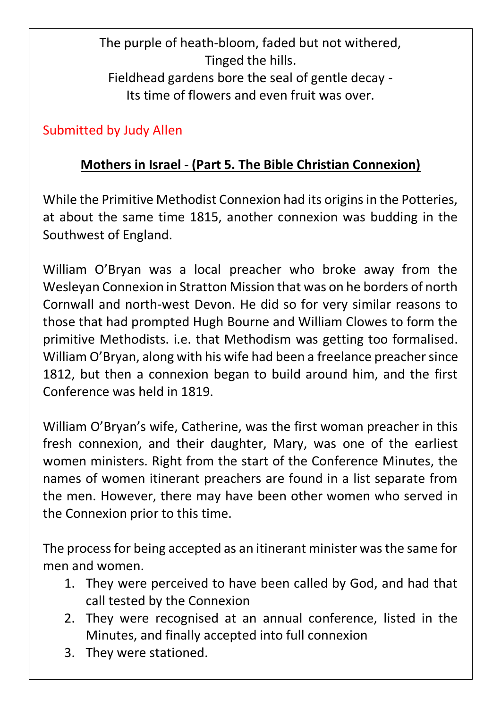The purple of heath-bloom, faded but not withered, Tinged the hills. Fieldhead gardens bore the seal of gentle decay - Its time of flowers and even fruit was over.

#### Submitted by Judy Allen

#### **Mothers in Israel - (Part 5. The Bible Christian Connexion)**

While the Primitive Methodist Connexion had its origins in the Potteries, at about the same time 1815, another connexion was budding in the Southwest of England.

William O'Bryan was a local preacher who broke away from the Wesleyan Connexion in Stratton Mission that was on he borders of north Cornwall and north-west Devon. He did so for very similar reasons to those that had prompted Hugh Bourne and William Clowes to form the primitive Methodists. i.e. that Methodism was getting too formalised. William O'Bryan, along with his wife had been a freelance preacher since 1812, but then a connexion began to build around him, and the first Conference was held in 1819.

William O'Bryan's wife, Catherine, was the first woman preacher in this fresh connexion, and their daughter, Mary, was one of the earliest women ministers. Right from the start of the Conference Minutes, the names of women itinerant preachers are found in a list separate from the men. However, there may have been other women who served in the Connexion prior to this time.

The process for being accepted as an itinerant minister was the same for men and women.

- 1. They were perceived to have been called by God, and had that call tested by the Connexion
- 2. They were recognised at an annual conference, listed in the Minutes, and finally accepted into full connexion
- 3. They were stationed.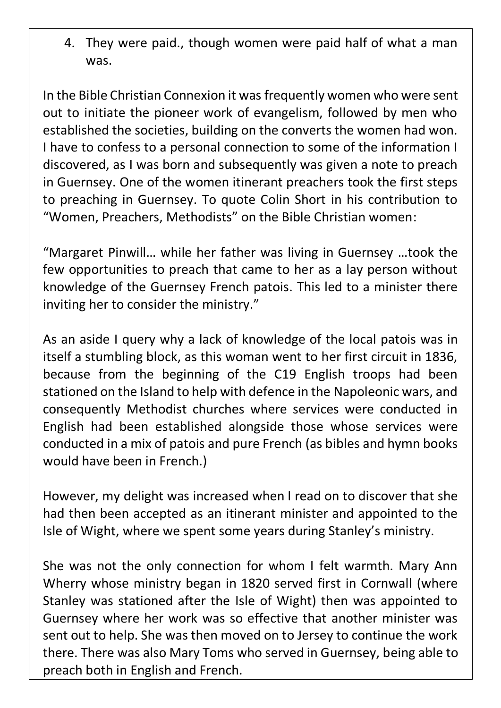4. They were paid., though women were paid half of what a man was.

In the Bible Christian Connexion it was frequently women who were sent out to initiate the pioneer work of evangelism, followed by men who established the societies, building on the converts the women had won. I have to confess to a personal connection to some of the information I discovered, as I was born and subsequently was given a note to preach in Guernsey. One of the women itinerant preachers took the first steps to preaching in Guernsey. To quote Colin Short in his contribution to "Women, Preachers, Methodists" on the Bible Christian women:

"Margaret Pinwill… while her father was living in Guernsey …took the few opportunities to preach that came to her as a lay person without knowledge of the Guernsey French patois. This led to a minister there inviting her to consider the ministry."

As an aside I query why a lack of knowledge of the local patois was in itself a stumbling block, as this woman went to her first circuit in 1836, because from the beginning of the C19 English troops had been stationed on the Island to help with defence in the Napoleonic wars, and consequently Methodist churches where services were conducted in English had been established alongside those whose services were conducted in a mix of patois and pure French (as bibles and hymn books would have been in French.)

However, my delight was increased when I read on to discover that she had then been accepted as an itinerant minister and appointed to the Isle of Wight, where we spent some years during Stanley's ministry.

She was not the only connection for whom I felt warmth. Mary Ann Wherry whose ministry began in 1820 served first in Cornwall (where Stanley was stationed after the Isle of Wight) then was appointed to Guernsey where her work was so effective that another minister was sent out to help. She was then moved on to Jersey to continue the work there. There was also Mary Toms who served in Guernsey, being able to preach both in English and French.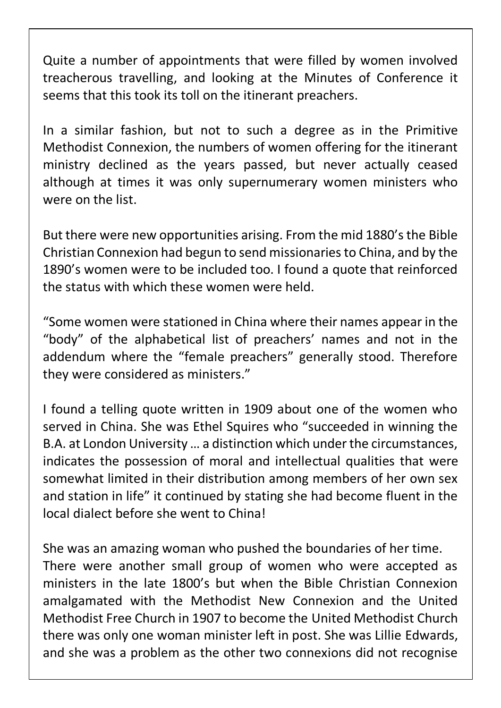Quite a number of appointments that were filled by women involved treacherous travelling, and looking at the Minutes of Conference it seems that this took its toll on the itinerant preachers.

In a similar fashion, but not to such a degree as in the Primitive Methodist Connexion, the numbers of women offering for the itinerant ministry declined as the years passed, but never actually ceased although at times it was only supernumerary women ministers who were on the list.

But there were new opportunities arising. From the mid 1880's the Bible Christian Connexion had begun to send missionaries to China, and by the 1890's women were to be included too. I found a quote that reinforced the status with which these women were held.

"Some women were stationed in China where their names appear in the "body" of the alphabetical list of preachers' names and not in the addendum where the "female preachers" generally stood. Therefore they were considered as ministers."

I found a telling quote written in 1909 about one of the women who served in China. She was Ethel Squires who "succeeded in winning the B.A. at London University … a distinction which under the circumstances, indicates the possession of moral and intellectual qualities that were somewhat limited in their distribution among members of her own sex and station in life" it continued by stating she had become fluent in the local dialect before she went to China!

She was an amazing woman who pushed the boundaries of her time. There were another small group of women who were accepted as ministers in the late 1800's but when the Bible Christian Connexion amalgamated with the Methodist New Connexion and the United Methodist Free Church in 1907 to become the United Methodist Church there was only one woman minister left in post. She was Lillie Edwards, and she was a problem as the other two connexions did not recognise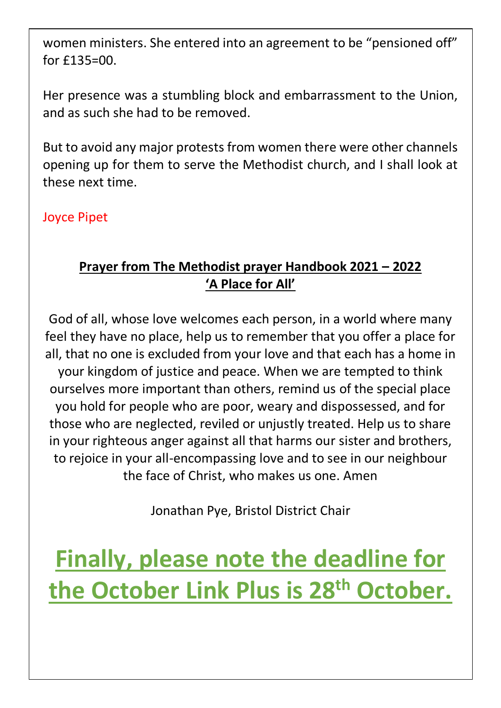women ministers. She entered into an agreement to be "pensioned off" for £135=00.

Her presence was a stumbling block and embarrassment to the Union, and as such she had to be removed.

But to avoid any major protests from women there were other channels opening up for them to serve the Methodist church, and I shall look at these next time.

Joyce Pipet

#### **Prayer from The Methodist prayer Handbook 2021 – 2022 'A Place for All'**

God of all, whose love welcomes each person, in a world where many feel they have no place, help us to remember that you offer a place for all, that no one is excluded from your love and that each has a home in your kingdom of justice and peace. When we are tempted to think ourselves more important than others, remind us of the special place you hold for people who are poor, weary and dispossessed, and for those who are neglected, reviled or unjustly treated. Help us to share in your righteous anger against all that harms our sister and brothers, to rejoice in your all-encompassing love and to see in our neighbour the face of Christ, who makes us one. Amen

Jonathan Pye, Bristol District Chair

**Finally, please note the deadline for the October Link Plus is 28 th October.**